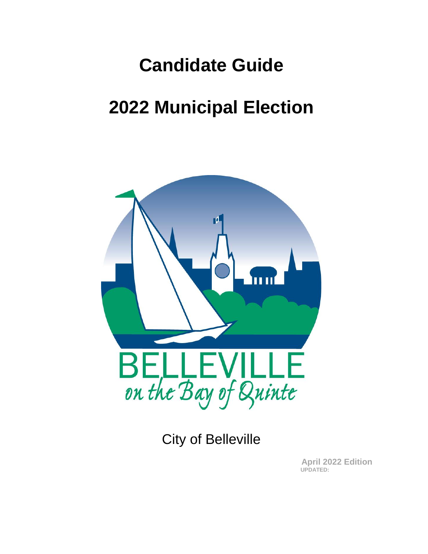# **Candidate Guide**

# **2022 Municipal Election**



City of Belleville

**April 2022 Edition UPDATED:**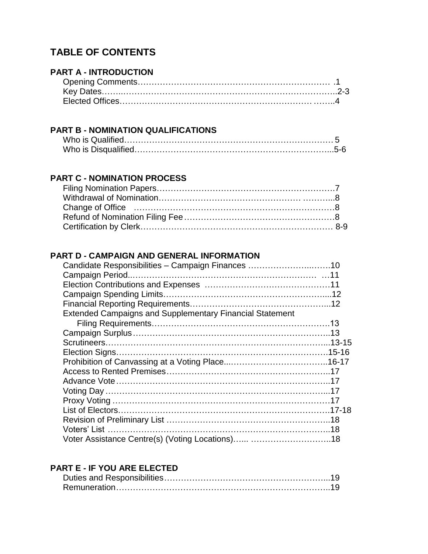# **TABLE OF CONTENTS**

# **PART A - INTRODUCTION**

#### **PART B - NOMINATION QUALIFICATIONS**

# **PART C - NOMINATION PROCESS**

# **PART D - CAMPAIGN AND GENERAL INFORMATION**

| Candidate Responsibilities - Campaign Finances 10               |  |
|-----------------------------------------------------------------|--|
|                                                                 |  |
|                                                                 |  |
|                                                                 |  |
|                                                                 |  |
| <b>Extended Campaigns and Supplementary Financial Statement</b> |  |
|                                                                 |  |
|                                                                 |  |
|                                                                 |  |
|                                                                 |  |
|                                                                 |  |
|                                                                 |  |
|                                                                 |  |
|                                                                 |  |
|                                                                 |  |
|                                                                 |  |
|                                                                 |  |
|                                                                 |  |
|                                                                 |  |

# **PART E - IF YOU ARE ELECTED**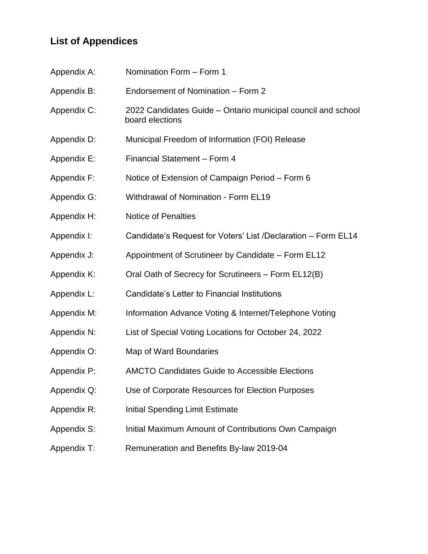# **List of Appendices**

| Appendix A: | Nomination Form - Form 1                                                        |  |
|-------------|---------------------------------------------------------------------------------|--|
| Appendix B: | Endorsement of Nomination - Form 2                                              |  |
| Appendix C: | 2022 Candidates Guide – Ontario municipal council and school<br>board elections |  |
| Appendix D: | Municipal Freedom of Information (FOI) Release                                  |  |
| Appendix E: | Financial Statement - Form 4                                                    |  |
| Appendix F: | Notice of Extension of Campaign Period – Form 6                                 |  |
| Appendix G: | <b>Withdrawal of Nomination - Form EL19</b>                                     |  |
| Appendix H: | <b>Notice of Penalties</b>                                                      |  |
| Appendix I: | Candidate's Request for Voters' List /Declaration – Form EL14                   |  |
| Appendix J: | Appointment of Scrutineer by Candidate – Form EL12                              |  |
| Appendix K: | Oral Oath of Secrecy for Scrutineers - Form EL12(B)                             |  |
| Appendix L: | Candidate's Letter to Financial Institutions                                    |  |
| Appendix M: | Information Advance Voting & Internet/Telephone Voting                          |  |
| Appendix N: | List of Special Voting Locations for October 24, 2022                           |  |
| Appendix O: | Map of Ward Boundaries                                                          |  |
| Appendix P: | <b>AMCTO Candidates Guide to Accessible Elections</b>                           |  |
| Appendix Q: | Use of Corporate Resources for Election Purposes                                |  |
| Appendix R: | <b>Initial Spending Limit Estimate</b>                                          |  |
| Appendix S: | Initial Maximum Amount of Contributions Own Campaign                            |  |
| Appendix T: | Remuneration and Benefits By-law 2019-04                                        |  |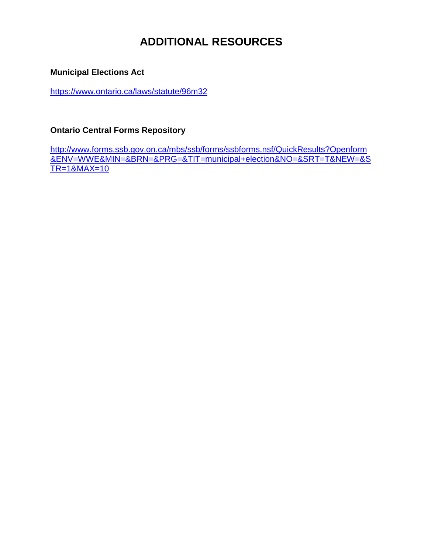# **ADDITIONAL RESOURCES**

# **Municipal Elections Act**

<https://www.ontario.ca/laws/statute/96m32>

# **Ontario Central Forms Repository**

[http://www.forms.ssb.gov.on.ca/mbs/ssb/forms/ssbforms.nsf/QuickResults?Openform](http://www.forms.ssb.gov.on.ca/mbs/ssb/forms/ssbforms.nsf/QuickResults?Openform&ENV=WWE&MIN=&BRN=&PRG=&TIT=municipal+election&NO=&SRT=T&NEW=&STR=1&MAX=10) [&ENV=WWE&MIN=&BRN=&PRG=&TIT=municipal+election&NO=&SRT=T&NEW=&S](http://www.forms.ssb.gov.on.ca/mbs/ssb/forms/ssbforms.nsf/QuickResults?Openform&ENV=WWE&MIN=&BRN=&PRG=&TIT=municipal+election&NO=&SRT=T&NEW=&STR=1&MAX=10) [TR=1&MAX=10](http://www.forms.ssb.gov.on.ca/mbs/ssb/forms/ssbforms.nsf/QuickResults?Openform&ENV=WWE&MIN=&BRN=&PRG=&TIT=municipal+election&NO=&SRT=T&NEW=&STR=1&MAX=10)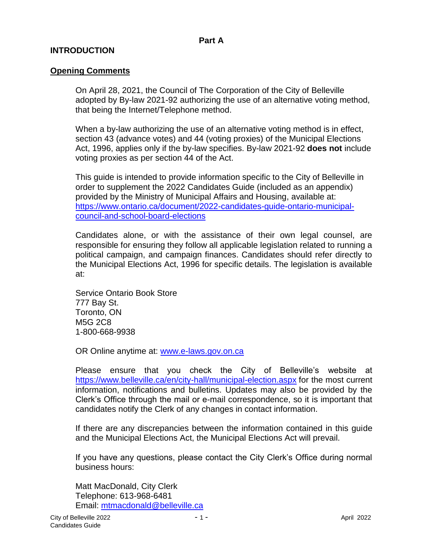# **INTRODUCTION**

#### **Opening Comments**

On April 28, 2021, the Council of The Corporation of the City of Belleville adopted by By-law 2021-92 authorizing the use of an alternative voting method, that being the Internet/Telephone method.

When a by-law authorizing the use of an alternative voting method is in effect, section 43 (advance votes) and 44 (voting proxies) of the Municipal Elections Act, 1996, applies only if the by-law specifies. By-law 2021-92 **does not** include voting proxies as per section 44 of the Act.

This guide is intended to provide information specific to the City of Belleville in order to supplement the 2022 Candidates Guide (included as an appendix) provided by the Ministry of Municipal Affairs and Housing, available at: [https://www.ontario.ca/document/2022-candidates-guide-ontario-municipal](https://www.ontario.ca/document/2022-candidates-guide-ontario-municipal-council-and-school-board-elections)[council-and-school-board-elections](https://www.ontario.ca/document/2022-candidates-guide-ontario-municipal-council-and-school-board-elections)

Candidates alone, or with the assistance of their own legal counsel, are responsible for ensuring they follow all applicable legislation related to running a political campaign, and campaign finances. Candidates should refer directly to the Municipal Elections Act, 1996 for specific details. The legislation is available at:

Service Ontario Book Store 777 Bay St. Toronto, ON M5G 2C8 1-800-668-9938

OR Online anytime at: [www.e-laws.gov.on.ca](http://www.e-laws.gov.on.ca/)

Please ensure that you check the City of Belleville's website at <https://www.belleville.ca/en/city-hall/municipal-election.aspx> for the most current information, notifications and bulletins. Updates may also be provided by the Clerk's Office through the mail or e-mail correspondence, so it is important that candidates notify the Clerk of any changes in contact information.

If there are any discrepancies between the information contained in this guide and the Municipal Elections Act, the Municipal Elections Act will prevail.

If you have any questions, please contact the City Clerk's Office during normal business hours:

Matt MacDonald, City Clerk Telephone: 613-968-6481 Email: [mtmacdonald@belleville.ca](mailto:mtmacdonald@belleville.ca)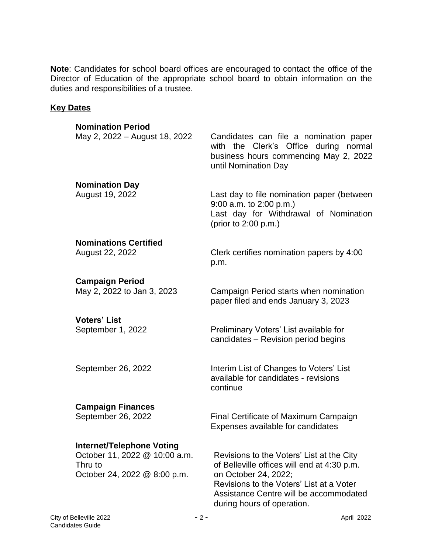**Note**: Candidates for school board offices are encouraged to contact the office of the Director of Education of the appropriate school board to obtain information on the duties and responsibilities of a trustee.

#### **Key Dates**

| <b>Nomination Period</b>                                                                                     |                                                                                                                                                                                                                                      |
|--------------------------------------------------------------------------------------------------------------|--------------------------------------------------------------------------------------------------------------------------------------------------------------------------------------------------------------------------------------|
| May 2, 2022 – August 18, 2022                                                                                | Candidates can file a nomination paper<br>with the Clerk's Office during normal<br>business hours commencing May 2, 2022<br>until Nomination Day                                                                                     |
| <b>Nomination Day</b><br>August 19, 2022                                                                     | Last day to file nomination paper (between<br>$9:00$ a.m. to $2:00$ p.m.)<br>Last day for Withdrawal of Nomination<br>(prior to 2:00 p.m.)                                                                                           |
| <b>Nominations Certified</b><br>August 22, 2022                                                              | Clerk certifies nomination papers by 4:00<br>p.m.                                                                                                                                                                                    |
| <b>Campaign Period</b><br>May 2, 2022 to Jan 3, 2023                                                         | Campaign Period starts when nomination<br>paper filed and ends January 3, 2023                                                                                                                                                       |
| <b>Voters' List</b><br>September 1, 2022                                                                     | Preliminary Voters' List available for<br>candidates - Revision period begins                                                                                                                                                        |
| September 26, 2022                                                                                           | Interim List of Changes to Voters' List<br>available for candidates - revisions<br>continue                                                                                                                                          |
| <b>Campaign Finances</b><br>September 26, 2022                                                               | Final Certificate of Maximum Campaign<br>Expenses available for candidates                                                                                                                                                           |
| <b>Internet/Telephone Voting</b><br>October 11, 2022 @ 10:00 a.m.<br>Thru to<br>October 24, 2022 @ 8:00 p.m. | Revisions to the Voters' List at the City<br>of Belleville offices will end at 4:30 p.m.<br>on October 24, 2022;<br>Revisions to the Voters' List at a Voter<br>Assistance Centre will be accommodated<br>during hours of operation. |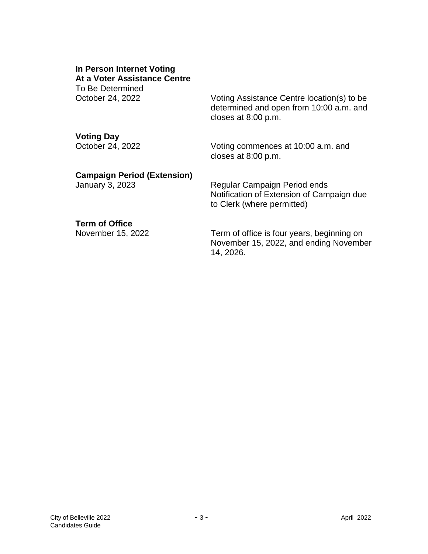# **In Person Internet Voting At a Voter Assistance Centre**

To Be Determined

October 24, 2022 Voting Assistance Centre location(s) to be determined and open from 10:00 a.m. and closes at 8:00 p.m.

# **Voting Day**

October 24, 2022 Voting commences at 10:00 a.m. and closes at 8:00 p.m.

# **Campaign Period (Extension)**

January 3, 2023 Regular Campaign Period ends Notification of Extension of Campaign due to Clerk (where permitted)

# **Term of Office**

November 15, 2022 Term of office is four years, beginning on November 15, 2022, and ending November 14, 2026.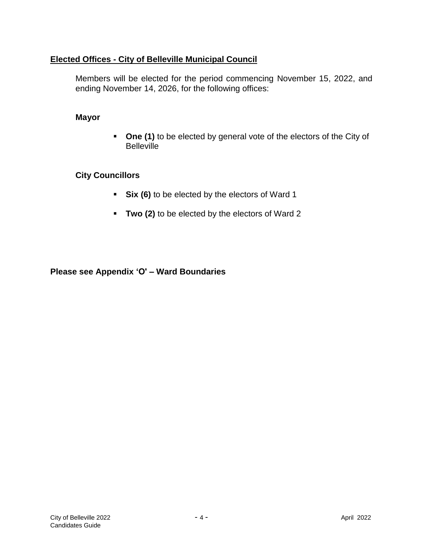# **Elected Offices - City of Belleville Municipal Council**

Members will be elected for the period commencing November 15, 2022, and ending November 14, 2026, for the following offices:

#### **Mayor**

**One (1)** to be elected by general vote of the electors of the City of **Belleville** 

# **City Councillors**

- **Six (6)** to be elected by the electors of Ward 1
- **Two (2)** to be elected by the electors of Ward 2

**Please see Appendix 'O' – Ward Boundaries**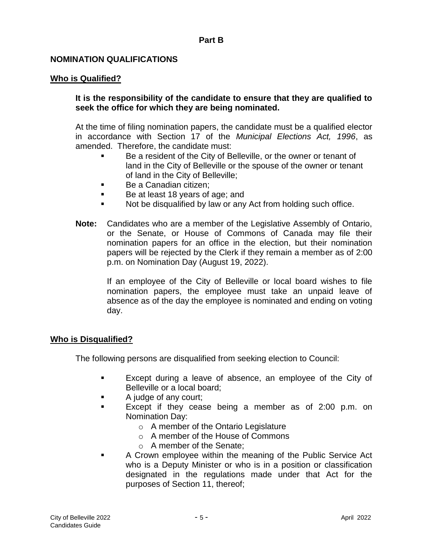#### **NOMINATION QUALIFICATIONS**

#### **Who is Qualified?**

#### **It is the responsibility of the candidate to ensure that they are qualified to seek the office for which they are being nominated.**

At the time of filing nomination papers, the candidate must be a qualified elector in accordance with Section 17 of the *Municipal Elections Act, 1996*, as amended. Therefore, the candidate must:

- Be a resident of the City of Belleville, or the owner or tenant of land in the City of Belleville or the spouse of the owner or tenant of land in the City of Belleville;
- Be a Canadian citizen;
- Be at least 18 years of age; and
- Not be disqualified by law or any Act from holding such office.
- **Note:** Candidates who are a member of the Legislative Assembly of Ontario, or the Senate, or House of Commons of Canada may file their nomination papers for an office in the election, but their nomination papers will be rejected by the Clerk if they remain a member as of 2:00 p.m. on Nomination Day (August 19, 2022).

If an employee of the City of Belleville or local board wishes to file nomination papers, the employee must take an unpaid leave of absence as of the day the employee is nominated and ending on voting day.

#### **Who is Disqualified?**

The following persons are disqualified from seeking election to Council:

- Except during a leave of absence, an employee of the City of Belleville or a local board;
- A judge of any court;
- Except if they cease being a member as of 2:00 p.m. on Nomination Day:
	- o A member of the Ontario Legislature
	- o A member of the House of Commons
	- o A member of the Senate;
- A Crown employee within the meaning of the Public Service Act who is a Deputy Minister or who is in a position or classification designated in the regulations made under that Act for the purposes of Section 11, thereof;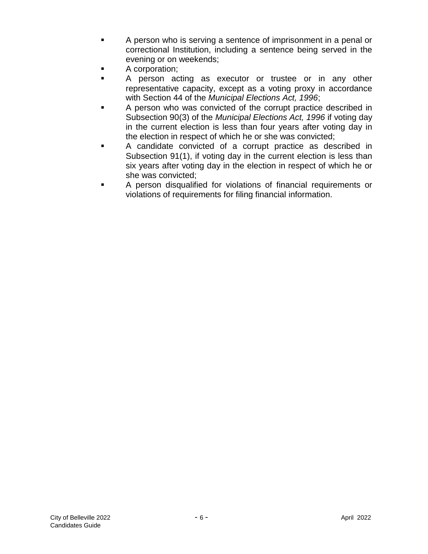- A person who is serving a sentence of imprisonment in a penal or correctional Institution, including a sentence being served in the evening or on weekends;
- A corporation;
- A person acting as executor or trustee or in any other representative capacity, except as a voting proxy in accordance with Section 44 of the *Municipal Elections Act, 1996*;
- A person who was convicted of the corrupt practice described in Subsection 90(3) of the *Municipal Elections Act, 1996* if voting day in the current election is less than four years after voting day in the election in respect of which he or she was convicted;
- A candidate convicted of a corrupt practice as described in Subsection 91(1), if voting day in the current election is less than six years after voting day in the election in respect of which he or she was convicted;
- A person disqualified for violations of financial requirements or violations of requirements for filing financial information.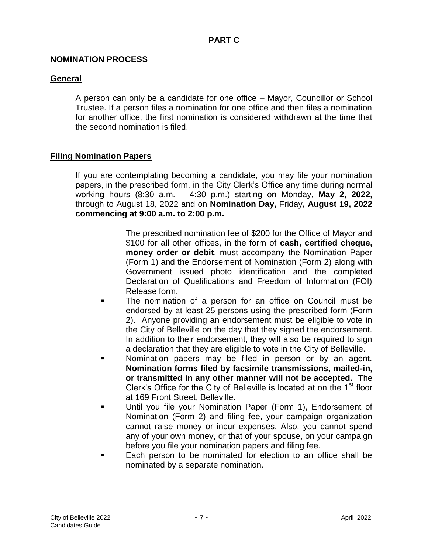#### **NOMINATION PROCESS**

#### **General**

A person can only be a candidate for one office – Mayor, Councillor or School Trustee. If a person files a nomination for one office and then files a nomination for another office, the first nomination is considered withdrawn at the time that the second nomination is filed.

#### **Filing Nomination Papers**

If you are contemplating becoming a candidate, you may file your nomination papers, in the prescribed form, in the City Clerk's Office any time during normal working hours (8:30 a.m. – 4:30 p.m.) starting on Monday, **May 2, 2022,**  through to August 18, 2022 and on **Nomination Day,** Friday**, August 19, 2022 commencing at 9:00 a.m. to 2:00 p.m.**

> The prescribed nomination fee of \$200 for the Office of Mayor and \$100 for all other offices, in the form of **cash, certified cheque, money order or debit**, must accompany the Nomination Paper (Form 1) and the Endorsement of Nomination (Form 2) along with Government issued photo identification and the completed Declaration of Qualifications and Freedom of Information (FOI) Release form.

- The nomination of a person for an office on Council must be endorsed by at least 25 persons using the prescribed form (Form 2). Anyone providing an endorsement must be eligible to vote in the City of Belleville on the day that they signed the endorsement. In addition to their endorsement, they will also be required to sign a declaration that they are eligible to vote in the City of Belleville.
- Nomination papers may be filed in person or by an agent. **Nomination forms filed by facsimile transmissions, mailed-in, or transmitted in any other manner will not be accepted.** The Clerk's Office for the City of Belleville is located at on the  $1<sup>st</sup>$  floor at 169 Front Street, Belleville.
- Until you file your Nomination Paper (Form 1), Endorsement of Nomination (Form 2) and filing fee, your campaign organization cannot raise money or incur expenses. Also, you cannot spend any of your own money, or that of your spouse, on your campaign before you file your nomination papers and filing fee.
- Each person to be nominated for election to an office shall be nominated by a separate nomination.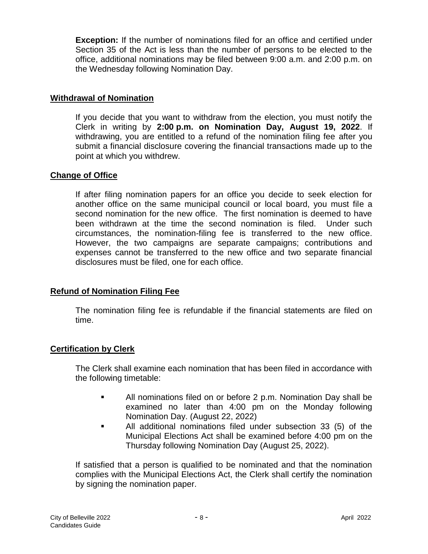**Exception:** If the number of nominations filed for an office and certified under Section 35 of the Act is less than the number of persons to be elected to the office, additional nominations may be filed between 9:00 a.m. and 2:00 p.m. on the Wednesday following Nomination Day.

#### **Withdrawal of Nomination**

If you decide that you want to withdraw from the election, you must notify the Clerk in writing by **2:00 p.m. on Nomination Day, August 19, 2022**. If withdrawing, you are entitled to a refund of the nomination filing fee after you submit a financial disclosure covering the financial transactions made up to the point at which you withdrew.

#### **Change of Office**

If after filing nomination papers for an office you decide to seek election for another office on the same municipal council or local board, you must file a second nomination for the new office. The first nomination is deemed to have been withdrawn at the time the second nomination is filed. Under such circumstances, the nomination-filing fee is transferred to the new office. However, the two campaigns are separate campaigns; contributions and expenses cannot be transferred to the new office and two separate financial disclosures must be filed, one for each office.

# **Refund of Nomination Filing Fee**

The nomination filing fee is refundable if the financial statements are filed on time.

#### **Certification by Clerk**

The Clerk shall examine each nomination that has been filed in accordance with the following timetable:

- All nominations filed on or before 2 p.m. Nomination Day shall be examined no later than 4:00 pm on the Monday following Nomination Day. (August 22, 2022)
- All additional nominations filed under subsection 33 (5) of the Municipal Elections Act shall be examined before 4:00 pm on the Thursday following Nomination Day (August 25, 2022).

If satisfied that a person is qualified to be nominated and that the nomination complies with the Municipal Elections Act, the Clerk shall certify the nomination by signing the nomination paper.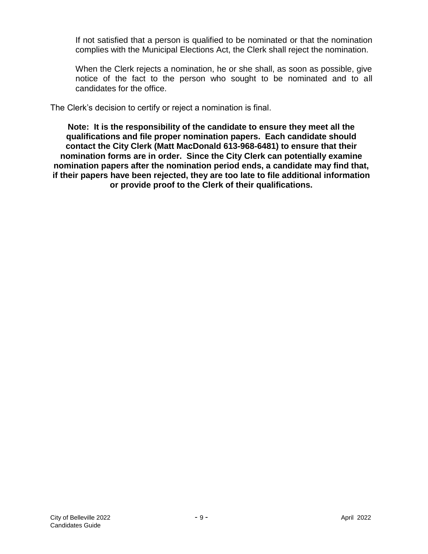If not satisfied that a person is qualified to be nominated or that the nomination complies with the Municipal Elections Act, the Clerk shall reject the nomination.

When the Clerk rejects a nomination, he or she shall, as soon as possible, give notice of the fact to the person who sought to be nominated and to all candidates for the office.

The Clerk's decision to certify or reject a nomination is final.

**Note: It is the responsibility of the candidate to ensure they meet all the qualifications and file proper nomination papers. Each candidate should contact the City Clerk (Matt MacDonald 613-968-6481) to ensure that their nomination forms are in order. Since the City Clerk can potentially examine nomination papers after the nomination period ends, a candidate may find that, if their papers have been rejected, they are too late to file additional information or provide proof to the Clerk of their qualifications.**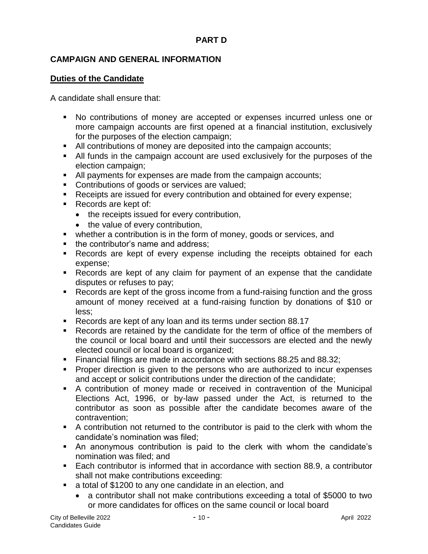# **PART D**

# **CAMPAIGN AND GENERAL INFORMATION**

#### **Duties of the Candidate**

A candidate shall ensure that:

- No contributions of money are accepted or expenses incurred unless one or more campaign accounts are first opened at a financial institution, exclusively for the purposes of the election campaign;
- All contributions of money are deposited into the campaign accounts;
- All funds in the campaign account are used exclusively for the purposes of the election campaign;
- All payments for expenses are made from the campaign accounts;
- **Contributions of goods or services are valued;**
- Receipts are issued for every contribution and obtained for every expense;
- Records are kept of:
	- the receipts issued for every contribution,
	- the value of every contribution,
- whether a contribution is in the form of money, goods or services, and
- the contributor's name and address;
- **Records are kept of every expense including the receipts obtained for each** expense;
- Records are kept of any claim for payment of an expense that the candidate disputes or refuses to pay;
- Records are kept of the gross income from a fund-raising function and the gross amount of money received at a fund-raising function by donations of \$10 or less;
- Records are kept of any loan and its terms under section 88.17
- Records are retained by the candidate for the term of office of the members of the council or local board and until their successors are elected and the newly elected council or local board is organized;
- Financial filings are made in accordance with sections 88.25 and 88.32;
- **Proper direction is given to the persons who are authorized to incur expenses** and accept or solicit contributions under the direction of the candidate;
- A contribution of money made or received in contravention of the Municipal Elections Act, 1996, or by-law passed under the Act, is returned to the contributor as soon as possible after the candidate becomes aware of the contravention;
- A contribution not returned to the contributor is paid to the clerk with whom the candidate's nomination was filed;
- An anonymous contribution is paid to the clerk with whom the candidate's nomination was filed; and
- Each contributor is informed that in accordance with section 88.9, a contributor shall not make contributions exceeding:
- a total of \$1200 to any one candidate in an election, and
	- a contributor shall not make contributions exceeding a total of \$5000 to two or more candidates for offices on the same council or local board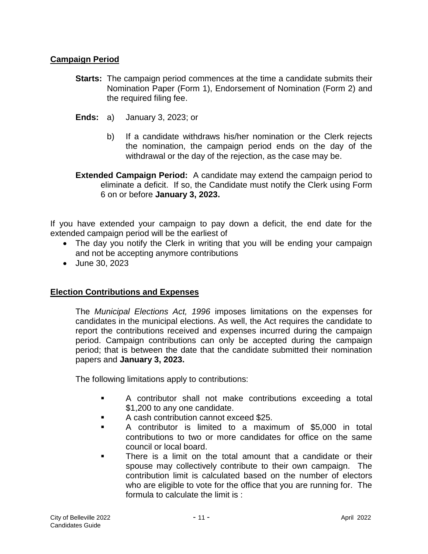# **Campaign Period**

- **Starts:** The campaign period commences at the time a candidate submits their Nomination Paper (Form 1), Endorsement of Nomination (Form 2) and the required filing fee.
- **Ends:** a) January 3, 2023; or
	- b) If a candidate withdraws his/her nomination or the Clerk rejects the nomination, the campaign period ends on the day of the withdrawal or the day of the rejection, as the case may be.
- **Extended Campaign Period:** A candidate may extend the campaign period to eliminate a deficit. If so, the Candidate must notify the Clerk using Form 6 on or before **January 3, 2023.**

If you have extended your campaign to pay down a deficit, the end date for the extended campaign period will be the earliest of

- The day you notify the Clerk in writing that you will be ending your campaign and not be accepting anymore contributions
- June 30, 2023

#### **Election Contributions and Expenses**

The *Municipal Elections Act, 1996* imposes limitations on the expenses for candidates in the municipal elections. As well, the Act requires the candidate to report the contributions received and expenses incurred during the campaign period. Campaign contributions can only be accepted during the campaign period; that is between the date that the candidate submitted their nomination papers and **January 3, 2023.**

The following limitations apply to contributions:

- A contributor shall not make contributions exceeding a total \$1,200 to any one candidate.
- A cash contribution cannot exceed \$25.
- A contributor is limited to a maximum of \$5,000 in total contributions to two or more candidates for office on the same council or local board.
- There is a limit on the total amount that a candidate or their spouse may collectively contribute to their own campaign. The contribution limit is calculated based on the number of electors who are eligible to vote for the office that you are running for. The formula to calculate the limit is :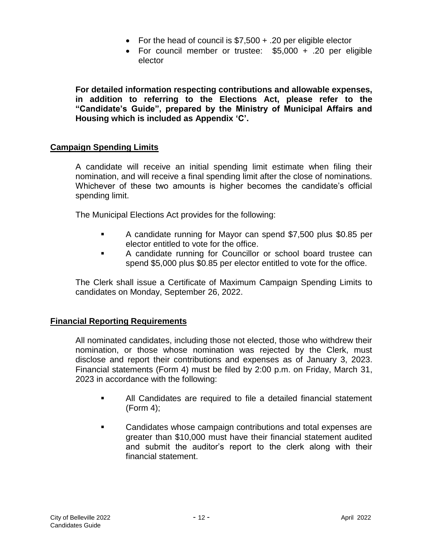- For the head of council is  $$7,500 + .20$  per eligible elector
- For council member or trustee: \$5,000 + .20 per eligible elector

**For detailed information respecting contributions and allowable expenses, in addition to referring to the Elections Act, please refer to the "Candidate's Guide", prepared by the Ministry of Municipal Affairs and Housing which is included as Appendix 'C'.**

#### **Campaign Spending Limits**

A candidate will receive an initial spending limit estimate when filing their nomination, and will receive a final spending limit after the close of nominations. Whichever of these two amounts is higher becomes the candidate's official spending limit.

The Municipal Elections Act provides for the following:

- A candidate running for Mayor can spend \$7,500 plus \$0.85 per elector entitled to vote for the office.
- A candidate running for Councillor or school board trustee can spend \$5,000 plus \$0.85 per elector entitled to vote for the office.

The Clerk shall issue a Certificate of Maximum Campaign Spending Limits to candidates on Monday, September 26, 2022.

#### **Financial Reporting Requirements**

All nominated candidates, including those not elected, those who withdrew their nomination, or those whose nomination was rejected by the Clerk, must disclose and report their contributions and expenses as of January 3, 2023. Financial statements (Form 4) must be filed by 2:00 p.m. on Friday, March 31, 2023 in accordance with the following:

- All Candidates are required to file a detailed financial statement (Form 4);
- Candidates whose campaign contributions and total expenses are greater than \$10,000 must have their financial statement audited and submit the auditor's report to the clerk along with their financial statement.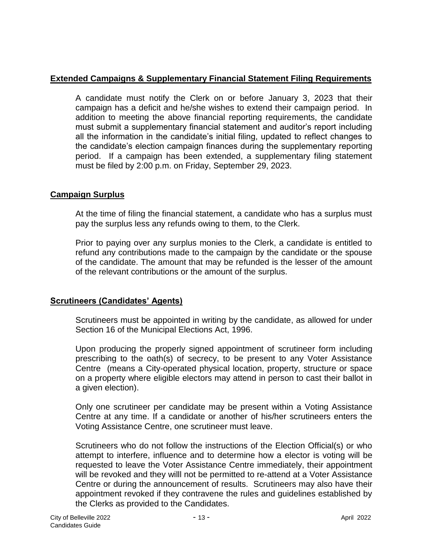#### **Extended Campaigns & Supplementary Financial Statement Filing Requirements**

A candidate must notify the Clerk on or before January 3, 2023 that their campaign has a deficit and he/she wishes to extend their campaign period. In addition to meeting the above financial reporting requirements, the candidate must submit a supplementary financial statement and auditor's report including all the information in the candidate's initial filing, updated to reflect changes to the candidate's election campaign finances during the supplementary reporting period. If a campaign has been extended, a supplementary filing statement must be filed by 2:00 p.m. on Friday, September 29, 2023.

#### **Campaign Surplus**

At the time of filing the financial statement, a candidate who has a surplus must pay the surplus less any refunds owing to them, to the Clerk.

Prior to paying over any surplus monies to the Clerk, a candidate is entitled to refund any contributions made to the campaign by the candidate or the spouse of the candidate. The amount that may be refunded is the lesser of the amount of the relevant contributions or the amount of the surplus.

# **Scrutineers (Candidates' Agents)**

Scrutineers must be appointed in writing by the candidate, as allowed for under Section 16 of the Municipal Elections Act, 1996.

Upon producing the properly signed appointment of scrutineer form including prescribing to the oath(s) of secrecy, to be present to any Voter Assistance Centre (means a City-operated physical location, property, structure or space on a property where eligible electors may attend in person to cast their ballot in a given election).

Only one scrutineer per candidate may be present within a Voting Assistance Centre at any time. If a candidate or another of his/her scrutineers enters the Voting Assistance Centre, one scrutineer must leave.

Scrutineers who do not follow the instructions of the Election Official(s) or who attempt to interfere, influence and to determine how a elector is voting will be requested to leave the Voter Assistance Centre immediately, their appointment will be revoked and they willl not be permitted to re-attend at a Voter Assistance Centre or during the announcement of results. Scrutineers may also have their appointment revoked if they contravene the rules and guidelines established by the Clerks as provided to the Candidates.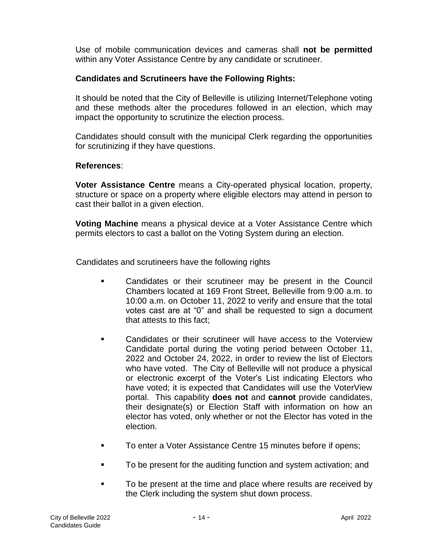Use of mobile communication devices and cameras shall **not be permitted** within any Voter Assistance Centre by any candidate or scrutineer.

#### **Candidates and Scrutineers have the Following Rights:**

It should be noted that the City of Belleville is utilizing Internet/Telephone voting and these methods alter the procedures followed in an election, which may impact the opportunity to scrutinize the election process.

Candidates should consult with the municipal Clerk regarding the opportunities for scrutinizing if they have questions.

#### **References**:

**Voter Assistance Centre** means a City-operated physical location, property, structure or space on a property where eligible electors may attend in person to cast their ballot in a given election.

**Voting Machine** means a physical device at a Voter Assistance Centre which permits electors to cast a ballot on the Voting System during an election.

Candidates and scrutineers have the following rights

- **EXECO** Candidates or their scrutineer may be present in the Council Chambers located at 169 Front Street, Belleville from 9:00 a.m. to 10:00 a.m. on October 11, 2022 to verify and ensure that the total votes cast are at "0" and shall be requested to sign a document that attests to this fact;
- Candidates or their scrutineer will have access to the Voterview Candidate portal during the voting period between October 11, 2022 and October 24, 2022, in order to review the list of Electors who have voted. The City of Belleville will not produce a physical or electronic excerpt of the Voter's List indicating Electors who have voted; it is expected that Candidates will use the VoterView portal. This capability **does not** and **cannot** provide candidates, their designate(s) or Election Staff with information on how an elector has voted, only whether or not the Elector has voted in the election.
- To enter a Voter Assistance Centre 15 minutes before if opens;
- To be present for the auditing function and system activation; and
- To be present at the time and place where results are received by the Clerk including the system shut down process.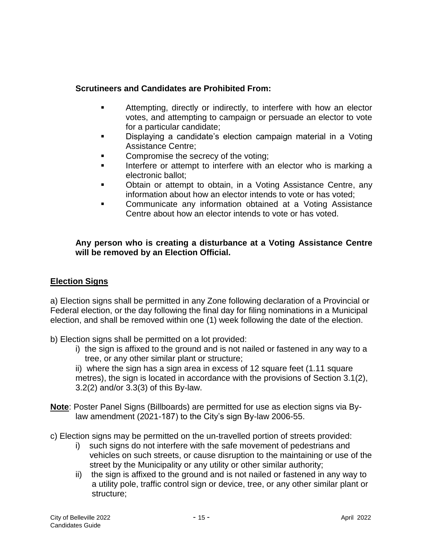# **Scrutineers and Candidates are Prohibited From:**

- **EXECT** Attempting, directly or indirectly, to interfere with how an elector votes, and attempting to campaign or persuade an elector to vote for a particular candidate;
- Displaying a candidate's election campaign material in a Voting Assistance Centre;
- Compromise the secrecy of the voting;
- Interfere or attempt to interfere with an elector who is marking a electronic ballot;
- Obtain or attempt to obtain, in a Voting Assistance Centre, any information about how an elector intends to vote or has voted;
- Communicate any information obtained at a Voting Assistance Centre about how an elector intends to vote or has voted.

#### **Any person who is creating a disturbance at a Voting Assistance Centre will be removed by an Election Official.**

# **Election Signs**

a) Election signs shall be permitted in any Zone following declaration of a Provincial or Federal election, or the day following the final day for filing nominations in a Municipal election, and shall be removed within one (1) week following the date of the election.

- b) Election signs shall be permitted on a lot provided:
	- i) the sign is affixed to the ground and is not nailed or fastened in any way to a tree, or any other similar plant or structure;

ii) where the sign has a sign area in excess of 12 square feet (1.11 square metres), the sign is located in accordance with the provisions of Section 3.1(2), 3.2(2) and/or 3.3(3) of this By-law.

- **Note**: Poster Panel Signs (Billboards) are permitted for use as election signs via Bylaw amendment (2021-187) to the City's sign By-law 2006-55.
- c) Election signs may be permitted on the un-travelled portion of streets provided:
	- i) such signs do not interfere with the safe movement of pedestrians and vehicles on such streets, or cause disruption to the maintaining or use of the street by the Municipality or any utility or other similar authority;
	- ii) the sign is affixed to the ground and is not nailed or fastened in any way to a utility pole, traffic control sign or device, tree, or any other similar plant or structure;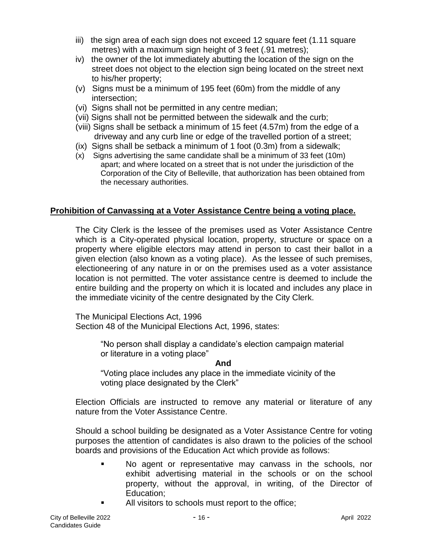- iii) the sign area of each sign does not exceed 12 square feet (1.11 square metres) with a maximum sign height of 3 feet (.91 metres);
- iv) the owner of the lot immediately abutting the location of the sign on the street does not object to the election sign being located on the street next to his/her property;
- (v) Signs must be a minimum of 195 feet (60m) from the middle of any intersection;
- (vi) Signs shall not be permitted in any centre median;
- (vii) Signs shall not be permitted between the sidewalk and the curb;
- (viii) Signs shall be setback a minimum of 15 feet (4.57m) from the edge of a driveway and any curb line or edge of the travelled portion of a street;
- (ix) Signs shall be setback a minimum of 1 foot (0.3m) from a sidewalk;
- (x) Signs advertising the same candidate shall be a minimum of 33 feet (10m) apart; and where located on a street that is not under the jurisdiction of the Corporation of the City of Belleville, that authorization has been obtained from the necessary authorities.

# **Prohibition of Canvassing at a Voter Assistance Centre being a voting place.**

The City Clerk is the lessee of the premises used as Voter Assistance Centre which is a City-operated physical location, property, structure or space on a property where eligible electors may attend in person to cast their ballot in a given election (also known as a voting place). As the lessee of such premises, electioneering of any nature in or on the premises used as a voter assistance location is not permitted. The voter assistance centre is deemed to include the entire building and the property on which it is located and includes any place in the immediate vicinity of the centre designated by the City Clerk.

The Municipal Elections Act, 1996 Section 48 of the Municipal Elections Act, 1996, states:

> "No person shall display a candidate's election campaign material or literature in a voting place"

#### **And**

"Voting place includes any place in the immediate vicinity of the voting place designated by the Clerk"

Election Officials are instructed to remove any material or literature of any nature from the Voter Assistance Centre.

Should a school building be designated as a Voter Assistance Centre for voting purposes the attention of candidates is also drawn to the policies of the school boards and provisions of the Education Act which provide as follows:

- No agent or representative may canvass in the schools, nor exhibit advertising material in the schools or on the school property, without the approval, in writing, of the Director of Education;
- All visitors to schools must report to the office;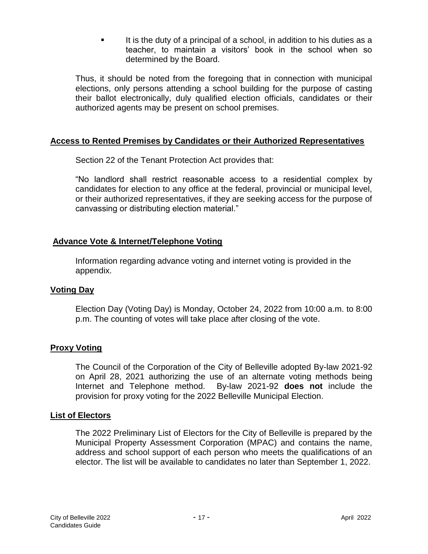It is the duty of a principal of a school, in addition to his duties as a teacher, to maintain a visitors' book in the school when so determined by the Board.

Thus, it should be noted from the foregoing that in connection with municipal elections, only persons attending a school building for the purpose of casting their ballot electronically, duly qualified election officials, candidates or their authorized agents may be present on school premises.

#### **Access to Rented Premises by Candidates or their Authorized Representatives**

Section 22 of the Tenant Protection Act provides that:

"No landlord shall restrict reasonable access to a residential complex by candidates for election to any office at the federal, provincial or municipal level, or their authorized representatives, if they are seeking access for the purpose of canvassing or distributing election material."

# **Advance Vote & Internet/Telephone Voting**

Information regarding advance voting and internet voting is provided in the appendix.

#### **Voting Day**

Election Day (Voting Day) is Monday, October 24, 2022 from 10:00 a.m. to 8:00 p.m. The counting of votes will take place after closing of the vote.

#### **Proxy Voting**

The Council of the Corporation of the City of Belleville adopted By-law 2021-92 on April 28, 2021 authorizing the use of an alternate voting methods being Internet and Telephone method. By-law 2021-92 **does not** include the provision for proxy voting for the 2022 Belleville Municipal Election.

#### **List of Electors**

The 2022 Preliminary List of Electors for the City of Belleville is prepared by the Municipal Property Assessment Corporation (MPAC) and contains the name, address and school support of each person who meets the qualifications of an elector. The list will be available to candidates no later than September 1, 2022.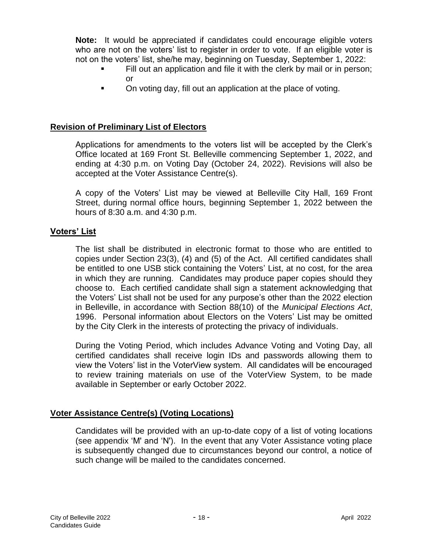**Note:** It would be appreciated if candidates could encourage eligible voters who are not on the voters' list to register in order to vote. If an eligible voter is not on the voters' list, she/he may, beginning on Tuesday, September 1, 2022:

- Fill out an application and file it with the clerk by mail or in person; or
- On voting day, fill out an application at the place of voting.

# **Revision of Preliminary List of Electors**

Applications for amendments to the voters list will be accepted by the Clerk's Office located at 169 Front St. Belleville commencing September 1, 2022, and ending at 4:30 p.m. on Voting Day (October 24, 2022). Revisions will also be accepted at the Voter Assistance Centre(s).

A copy of the Voters' List may be viewed at Belleville City Hall, 169 Front Street, during normal office hours, beginning September 1, 2022 between the hours of 8:30 a.m. and 4:30 p.m.

# **Voters' List**

The list shall be distributed in electronic format to those who are entitled to copies under Section 23(3), (4) and (5) of the Act. All certified candidates shall be entitled to one USB stick containing the Voters' List, at no cost, for the area in which they are running. Candidates may produce paper copies should they choose to. Each certified candidate shall sign a statement acknowledging that the Voters' List shall not be used for any purpose's other than the 2022 election in Belleville, in accordance with Section 88(10) of the *Municipal Elections Act*, 1996. Personal information about Electors on the Voters' List may be omitted by the City Clerk in the interests of protecting the privacy of individuals.

During the Voting Period, which includes Advance Voting and Voting Day, all certified candidates shall receive login IDs and passwords allowing them to view the Voters' list in the VoterView system. All candidates will be encouraged to review training materials on use of the VoterView System, to be made available in September or early October 2022.

# **Voter Assistance Centre(s) (Voting Locations)**

Candidates will be provided with an up-to-date copy of a list of voting locations (see appendix 'M' and 'N'). In the event that any Voter Assistance voting place is subsequently changed due to circumstances beyond our control, a notice of such change will be mailed to the candidates concerned.